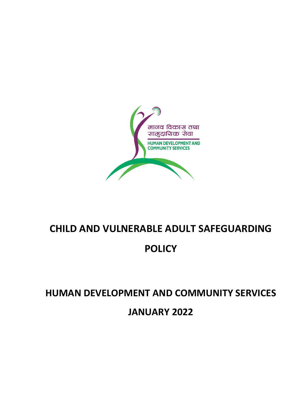

## **CHILD AND VULNERABLE ADULT SAFEGUARDING**

## **POLICY**

# **HUMAN DEVELOPMENT AND COMMUNITY SERVICES**

**JANUARY 2022**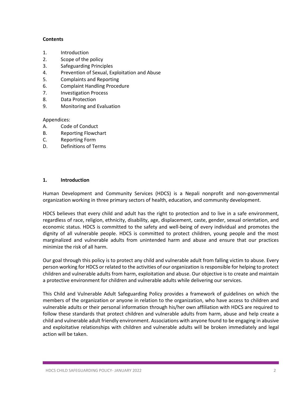#### **Contents**

- 1. Introduction
- 2. Scope of the policy
- 3. Safeguarding Principles
- 4. Prevention of Sexual, Exploitation and Abuse
- 5. Complaints and Reporting
- 6. Complaint Handling Procedure
- 7. Investigation Process
- 8. Data Protection
- 9. Monitoring and Evaluation

Appendices:

- A. Code of Conduct
- B. Reporting Flowchart
- C. Reporting Form
- D. Definitions of Terms

#### **1. Introduction**

Human Development and Community Services (HDCS) is a Nepali nonprofit and non-governmental organization working in three primary sectors of health, education, and community development.

HDCS believes that every child and adult has the right to protection and to live in a safe environment, regardless of race, religion, ethnicity, disability, age, displacement, caste, gender, sexual orientation, and economic status. HDCS is committed to the safety and well-being of every individual and promotes the dignity of all vulnerable people. HDCS is committed to protect children, young people and the most marginalized and vulnerable adults from unintended harm and abuse and ensure that our practices minimize the risk of all harm.

Our goal through this policy is to protect any child and vulnerable adult from falling victim to abuse. Every person working for HDCS or related to the activities of our organization is responsible for helping to protect children and vulnerable adults from harm, exploitation and abuse. Our objective is to create and maintain a protective environment for children and vulnerable adults while delivering our services.

This Child and Vulnerable Adult Safeguarding Policy provides a framework of guidelines on which the members of the organization or anyone in relation to the organization, who have access to children and vulnerable adults or their personal information through his/her own affiliation with HDCS are required to follow these standards that protect children and vulnerable adults from harm, abuse and help create a child and vulnerable adult friendly environment. Associations with anyone found to be engaging in abusive and exploitative relationships with children and vulnerable adults will be broken immediately and legal action will be taken.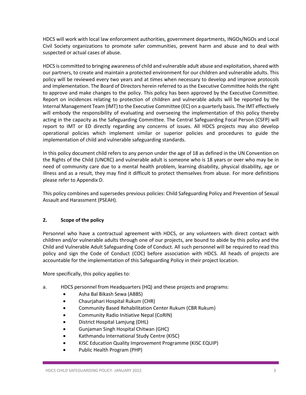HDCS will work with local law enforcement authorities, government departments, INGOs/NGOs and Local Civil Society organizations to promote safer communities, prevent harm and abuse and to deal with suspected or actual cases of abuse.

HDCS is committed to bringing awareness of child and vulnerable adult abuse and exploitation, shared with our partners, to create and maintain a protected environment for our children and vulnerable adults. This policy will be reviewed every two years and at times when necessary to develop and improve protocols and implementation. The Board of Directors herein referred to as the Executive Committee holds the right to approve and make changes to the policy. This policy has been approved by the Executive Committee. Report on incidences relating to protection of children and vulnerable adults will be reported by the Internal Management Team (IMT) to the Executive Committee (EC) on a quarterly basis. The IMT effectively will embody the responsibility of evaluating and overseeing the implementation of this policy thereby acting in the capacity as the Safeguarding Committee. The Central Safeguarding Focal Person (CSFP) will report to IMT or ED directly regarding any concerns of issues. All HDCS projects may also develop operational policies which implement similar or superior policies and procedures to guide the implementation of child and vulnerable safeguarding standards.

In this policy document child refers to any person under the age of 18 as defined in the UN Convention on the Rights of the Child (UNCRC) and vulnerable adult is someone who is 18 years or over who may be in need of community care due to a mental health problem, learning disability, physical disability, age or illness and as a result, they may find it difficult to protect themselves from abuse. For more definitions please refer to Appendix D.

This policy combines and supersedes previous policies: Child Safeguarding Policy and Prevention of Sexual Assault and Harassment (PSEAH).

#### **2. Scope of the policy**

Personnel who have a contractual agreement with HDCS, or any volunteers with direct contact with children and/or vulnerable adults through one of our projects, are bound to abide by this policy and the Child and Vulnerable Adult Safeguarding Code of Conduct. All such personnel will be required to read this policy and sign the Code of Conduct (COC) before association with HDCS. All heads of projects are accountable for the implementation of this Safeguarding Policy in their project location.

More specifically, this policy applies to:

- a. HDCS personnel from Headquarters (HQ) and these projects and programs:
	- Asha Bal Bikash Sewa (ABBS)
	- Chaurjahari Hospital Rukum (CHR)
	- Community Based Rehabilitation Center Rukum (CBR Rukum)
	- Community Radio Initiative Nepal (CoRIN)
	- District Hospital Lamjung (DHL)
	- Gunjaman Singh Hospital Chitwan (GHC)
	- Kathmandu International Study Centre (KISC)
	- KISC Education Quality Improvement Programme (KISC EQUIP)
	- Public Health Program (PHP)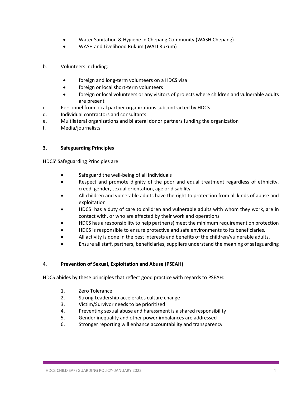- Water Sanitation & Hygiene in Chepang Community (WASH Chepang)
- WASH and Livelihood Rukum (WALI Rukum)
- b. Volunteers including:
	- foreign and long-term volunteers on a HDCS visa
	- foreign or local short-term volunteers
	- foreign or local volunteers or any visitors of projects where children and vulnerable adults are present
- c. Personnel from local partner organizations subcontracted by HDCS
- d. Individual contractors and consultants
- e. Multilateral organizations and bilateral donor partners funding the organization
- f. Media/journalists

#### **3. Safeguarding Principles**

HDCS' Safeguarding Principles are:

- Safeguard the well‐being of all individuals
- Respect and promote dignity of the poor and equal treatment regardless of ethnicity, creed, gender, sexual orientation, age or disability
- All children and vulnerable adults have the right to protection from all kinds of abuse and exploitation
- HDCS has a duty of care to children and vulnerable adults with whom they work, are in contact with, or who are affected by their work and operations
- HDCS has a responsibility to help partner(s) meet the minimum requirement on protection
- HDCS is responsible to ensure protective and safe environments to its beneficiaries.
- All activity is done in the best interests and benefits of the children/vulnerable adults.
- Ensure all staff, partners, beneficiaries, suppliers understand the meaning of safeguarding

#### 4. **Prevention of Sexual, Exploitation and Abuse (PSEAH)**

HDCS abides by these principles that reflect good practice with regards to PSEAH:

- 1. Zero Tolerance
- 2. Strong Leadership accelerates culture change
- 3. Victim/Survivor needs to be prioritized
- 4. Preventing sexual abuse and harassment is a shared responsibility
- 5. Gender inequality and other power imbalances are addressed
- 6. Stronger reporting will enhance accountability and transparency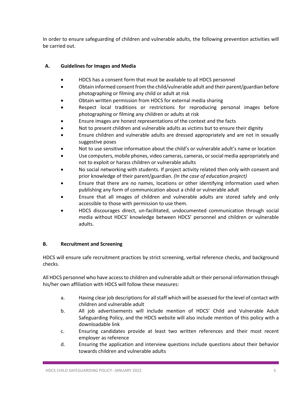In order to ensure safeguarding of children and vulnerable adults, the following prevention activities will be carried out.

#### **A. Guidelines for Images and Media**

- HDCS has a consent form that must be available to all HDCS personnel
- Obtain informed consent from the child/vulnerable adult and their parent/guardian before photographing or filming any child or adult at risk
- Obtain written permission from HDCS for external media sharing
- Respect local traditions or restrictions for reproducing personal images before photographing or filming any children or adults at risk
- Ensure images are honest representations of the context and the facts
- Not to present children and vulnerable adults as victims but to ensure their dignity
- Ensure children and vulnerable adults are dressed appropriately and are not in sexually suggestive poses
- Not to use sensitive information about the child's or vulnerable adult's name or location
- Use computers, mobile phones, video cameras, cameras, or social media appropriately and not to exploit or harass children or vulnerable adults
- No social networking with students. If project activity related then only with consent and prior knowledge of their parent/guardian. *(In the case of education project)*
- Ensure that there are no names, locations or other identifying information used when publishing any form of communication about a child or vulnerable adult
- Ensure that all images of children and vulnerable adults are stored safely and only accessible to those with permission to use them.
- HDCS discourages direct, un-facilitated, undocumented communication through social media without HDCS' knowledge between HDCS' personnel and children or vulnerable adults.

#### **B. Recruitment and Screening**

HDCS will ensure safe recruitment practices by strict screening, verbal reference checks, and background checks.

All HDCS personnel who have access to children and vulnerable adult or their personal information through his/her own affiliation with HDCS will follow these measures:

- a. Having clear job descriptions for all staff which will be assessed for the level of contact with children and vulnerable adult
- b. All job advertisements will include mention of HDCS' Child and Vulnerable Adult Safeguarding Policy, and the HDCS website will also include mention of this policy with a downloadable link
- c. Ensuring candidates provide at least two written references and their most recent employer as reference
- d. Ensuring the application and interview questions include questions about their behavior towards children and vulnerable adults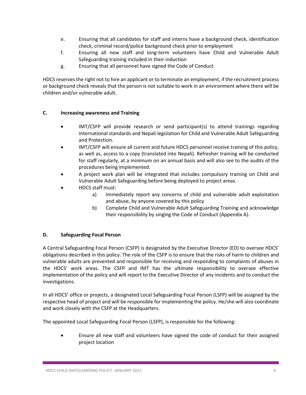- e. Ensuring that all candidates for staff and interns have a background check, identification check, criminal record/police background check prior to employment
- f. Ensuring all new staff and long-term volunteers have Child and Vulnerable Adult Safeguarding training included in their induction
- g. Ensuring that all personnel have signed the Code of Conduct.

HDCS reserves the right not to hire an applicant or to terminate an employment, if the recruitment process or background check reveals that the person is not suitable to work in an environment where there will be children and/or vulnerable adult.

#### **C. Increasing awareness and Training**

- IMT/CSFP will provide research or send participant(s) to attend trainings regarding international standards and Nepali legislation for Child and Vulnerable Adult Safeguarding and Protection.
- IMT/CSFP will ensure all current and future HDCS personnel receive training of this policy, as well as, access to a copy (translated into Nepali). Refresher training will be conducted for staff regularly, at a minimum on an annual basis and will also see to the audits of the procedures being implemented.
- A project work plan will be integrated that includes compulsory training on Child and Vulnerable Adult Safeguarding before being deployed to project areas.
- HDCS staff must:
	- a) Immediately report any concerns of child and vulnerable adult exploitation and abuse, by anyone covered by this policy
	- b) Complete Child and Vulnerable Adult Safeguarding Training and acknowledge their responsibility by singing the Code of Conduct (Appendix A).

#### **D. Safeguarding Focal Person**

A Central Safeguarding Focal Person (CSFP) is designated by the Executive Director (ED) to oversee HDCS' obligations described in this policy. The role of the CSFP is to ensure that the risks of harm to children and vulnerable adults are prevented and responsible for receiving and responding to complaints of abuses in the HDCS' work areas. The CSFP and IMT has the ultimate responsibility to oversee effective implementation of the policy and will report to the Executive Director of any incidents and to conduct the investigations.

In all HDCS' office or projects, a designated Local Safeguarding Focal Person (LSFP) will be assigned by the respective head of project and will be responsible for implementing the policy. He/she will also coordinate and work closely with the CSFP at the Headquarters.

The appointed Local Safeguarding Focal Person (LSFP), is responsible for the following:

 Ensure all new staff and volunteers have signed the code of conduct for their assigned project location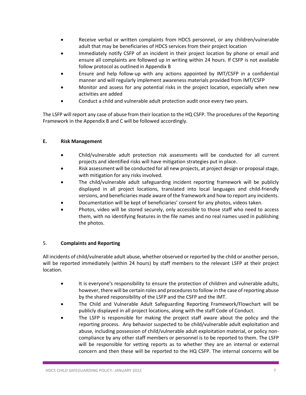- Receive verbal or written complaints from HDCS personnel, or any children/vulnerable adult that may be beneficiaries of HDCS services from their project location
- Immediately notify CSFP of an incident in their project location by phone or email and ensure all complaints are followed up in writing within 24 hours. If CSFP is not available follow protocol as outlined in Appendix B
- Ensure and help follow-up with any actions appointed by IMT/CSFP in a confidential manner and will regularly implement awareness materials provided from IMT/CSFP
- Monitor and assess for any potential risks in the project location, especially when new activities are added
- Conduct a child and vulnerable adult protection audit once every two years.

The LSFP will report any case of abuse from their location to the HQ CSFP. The procedures of the Reporting Framework in the Appendix B and C will be followed accordingly.

#### **E. Risk Management**

- Child/vulnerable adult protection risk assessments will be conducted for all current projects and identified risks will have mitigation strategies put in place.
- Risk assessment will be conducted for all new projects, at project design or proposal stage, with mitigation for any risks involved.
- The child/vulnerable adult safeguarding incident reporting framework will be publicly displayed in all project locations, translated into local languages and child-friendly versions, and beneficiaries made aware of the framework and how to report any incidents.
- Documentation will be kept of beneficiaries' consent for any photos, videos taken.
- Photos, video will be stored securely, only accessible to those staff who need to access them, with no identifying features in the file names and no real names used in publishing the photos.

#### 5. **Complaints and Reporting**

All incidents of child/vulnerable adult abuse, whether observed or reported by the child or another person, will be reported immediately (within 24 hours) by staff members to the relevant LSFP at their project location.

- It is everyone's responsibility to ensure the protection of children and vulnerable adults, however, there will be certain roles and procedures to follow in the case of reporting abuse by the shared responsibility of the LSFP and the CSFP and the IMT.
- The Child and Vulnerable Adult Safeguarding Reporting Framework/Flowchart will be publicly displayed in all project locations, along with the staff Code of Conduct.
- The LSFP is responsible for making the project staff aware about the policy and the reporting process. Any behavior suspected to be child/vulnerable adult exploitation and abuse, including possession of child/vulnerable adult exploitation material, or policy noncompliance by any other staff members or personnel is to be reported to them. The LSFP will be responsible for vetting reports as to whether they are an internal or external concern and then these will be reported to the HQ CSFP. The internal concerns will be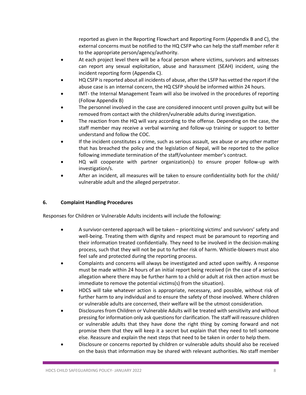reported as given in the Reporting Flowchart and Reporting Form (Appendix B and C), the external concerns must be notified to the HQ CSFP who can help the staff member refer it to the appropriate person/agency/authority.

- At each project level there will be a focal person where victims, survivors and witnesses can report any sexual exploitation, abuse and harassment (SEAH) incident, using the incident reporting form (Appendix C).
- HQ CSFP is reported about all incidents of abuse, after the LSFP has vetted the report if the abuse case is an internal concern, the HQ CSFP should be informed within 24 hours.
- IMT- the Internal Management Team will also be involved in the procedures of reporting (Follow Appendix B)
- The personnel involved in the case are considered innocent until proven guilty but will be removed from contact with the children/vulnerable adults during investigation.
- The reaction from the HQ will vary according to the offense. Depending on the case, the staff member may receive a verbal warning and follow-up training or support to better understand and follow the COC.
- If the incident constitutes a crime, such as serious assault, sex abuse or any other matter that has breached the policy and the legislation of Nepal, will be reported to the police following immediate termination of the staff/volunteer member's contract.
- HQ will cooperate with partner organization(s) to ensure proper follow-up with investigation/s.
- After an incident, all measures will be taken to ensure confidentiality both for the child/ vulnerable adult and the alleged perpetrator.

#### **6. Complaint Handling Procedures**

Responses for Children or Vulnerable Adults incidents will include the following:

- A survivor-centered approach will be taken prioritizing victims' and survivors' safety and well-being. Treating them with dignity and respect must be paramount to reporting and their information treated confidentially. They need to be involved in the decision-making process, such that they will not be put to further risk of harm. Whistle-blowers must also feel safe and protected during the reporting process.
- Complaints and concerns will always be investigated and acted upon swiftly. A response must be made within 24 hours of an initial report being received (in the case of a serious allegation where there may be further harm to a child or adult at risk then action must be immediate to remove the potential victims(s) from the situation).
- HDCS will take whatever action is appropriate, necessary, and possible, without risk of further harm to any individual and to ensure the safety of those involved. Where children or vulnerable adults are concerned, their welfare will be the utmost consideration.
- Disclosures from Children or Vulnerable Adults will be treated with sensitivity and without pressing for information only ask questions for clarification. The staff will reassure children or vulnerable adults that they have done the right thing by coming forward and not promise them that they will keep it a secret but explain that they need to tell someone else. Reassure and explain the next steps that need to be taken in order to help them.
- Disclosure or concerns reported by children or vulnerable adults should also be received on the basis that information may be shared with relevant authorities. No staff member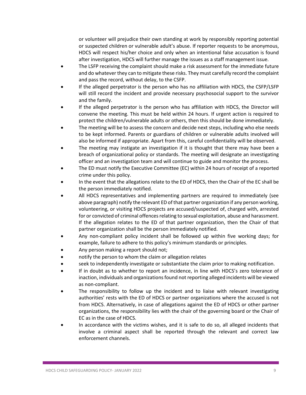or volunteer will prejudice their own standing at work by responsibly reporting potential or suspected children or vulnerable adult's abuse. If reporter requests to be anonymous, HDCS will respect his/her choice and only when an intentional false accusation is found after investigation, HDCS will further manage the issues as a staff management issue.

- The LSFP receiving the complaint should make a risk assessment for the immediate future and do whatever they can to mitigate these risks. They must carefully record the complaint and pass the record, without delay, to the CSFP.
- If the alleged perpetrator is the person who has no affiliation with HDCS, the CSFP/LSFP will still record the incident and provide necessary psychosocial support to the survivor and the family.
- If the alleged perpetrator is the person who has affiliation with HDCS, the Director will convene the meeting. This must be held within 24 hours. If urgent action is required to protect the children/vulnerable adults or others, then this should be done immediately.
- The meeting will be to assess the concern and decide next steps, including who else needs to be kept informed. Parents or guardians of children or vulnerable adults involved will also be informed if appropriate. Apart from this, careful confidentiality will be observed.
- The meeting may instigate an investigation if it is thought that there may have been a breach of organizational policy or standards. The meeting will designate an investigating officer and an investigation team and will continue to guide and monitor the process.
- The ED must notify the Executive Committee (EC) within 24 hours of receipt of a reported crime under this policy.
- In the event that the allegations relate to the ED of HDCS, then the Chair of the EC shall be the person immediately notified.
- All HDCS representatives and implementing partners are required to immediately (see above paragraph) notify the relevant ED of that partner organization if any person working, volunteering, or visiting HDCS projects are accused/suspected of, charged with, arrested for or convicted of criminal offences relating to sexual exploitation, abuse and harassment. If the allegation relates to the ED of that partner organization, then the Chair of that partner organization shall be the person immediately notified.
- Any non-compliant policy incident shall be followed up within five working days; for example, failure to adhere to this policy's minimum standards or principles.
- Any person making a report should not;
- notify the person to whom the claim or allegation relates
- seek to independently investigate or substantiate the claim prior to making notification.
- If in doubt as to whether to report an incidence, in line with HDCS's zero tolerance of inaction, individuals and organizations found not reporting alleged incidents will be viewed as non-compliant.
- The responsibility to follow up the incident and to liaise with relevant investigating authorities' rests with the ED of HDCS or partner organizations where the accused is not from HDCS. Alternatively, in case of allegations against the ED of HDCS or other partner organizations, the responsibility lies with the chair of the governing board or the Chair of EC as in the case of HDCS.
- In accordance with the victims wishes, and it is safe to do so, all alleged incidents that involve a criminal aspect shall be reported through the relevant and correct law enforcement channels.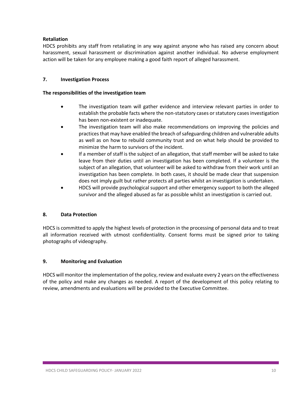#### **Retaliation**

HDCS prohibits any staff from retaliating in any way against anyone who has raised any concern about harassment, sexual harassment or discrimination against another individual. No adverse employment action will be taken for any employee making a good faith report of alleged harassment.

#### **7. Investigation Process**

#### **The responsibilities of the investigation team**

- The investigation team will gather evidence and interview relevant parties in order to establish the probable facts where the non-statutory cases or statutory cases investigation has been non-existent or inadequate.
- The investigation team will also make recommendations on improving the policies and practices that may have enabled the breach of safeguarding children and vulnerable adults as well as on how to rebuild community trust and on what help should be provided to minimize the harm to survivors of the incident.
- If a member of staff is the subject of an allegation, that staff member will be asked to take leave from their duties until an investigation has been completed. If a volunteer is the subject of an allegation, that volunteer will be asked to withdraw from their work until an investigation has been complete. In both cases, it should be made clear that suspension does not imply guilt but rather protects all parties whilst an investigation is undertaken.
- HDCS will provide psychological support and other emergency support to both the alleged survivor and the alleged abused as far as possible whilst an investigation is carried out.

#### **8. Data Protection**

HDCS is committed to apply the highest levels of protection in the processing of personal data and to treat all information received with utmost confidentiality. Consent forms must be signed prior to taking photographs of videography.

#### **9. Monitoring and Evaluation**

HDCS will monitor the implementation of the policy, review and evaluate every 2 years on the effectiveness of the policy and make any changes as needed. A report of the development of this policy relating to review, amendments and evaluations will be provided to the Executive Committee.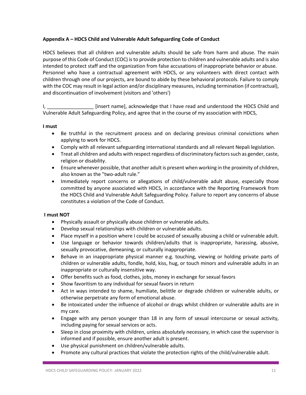#### **Appendix A – HDCS Child and Vulnerable Adult Safeguarding Code of Conduct**

HDCS believes that all children and vulnerable adults should be safe from harm and abuse. The main purpose of this Code of Conduct (COC) is to provide protection to children and vulnerable adults and is also intended to protect staff and the organization from false accusations of inappropriate behavior or abuse. Personnel who have a contractual agreement with HDCS, or any volunteers with direct contact with children through one of our projects, are bound to abide by these behavioral protocols. Failure to comply with the COC may result in legal action and/or disciplinary measures, including termination (if contractual), and discontinuation of involvement (visitors and 'others')

I, \_\_\_\_\_\_\_\_\_\_\_\_\_\_\_\_\_ [insert name], acknowledge that I have read and understood the HDCS Child and Vulnerable Adult Safeguarding Policy, and agree that in the course of my association with HDCS,

#### **I must**

- Be truthful in the recruitment process and on declaring previous criminal convictions when applying to work for HDCS.
- Comply with all relevant safeguarding international standards and all relevant Nepali legislation.
- Treat all children and adults with respect regardless of discriminatory factors such as gender, caste, religion or disability.
- Ensure whenever possible, that another adult is present when working in the proximity of children, also known as the "two-adult rule."
- Immediately report concerns or allegations of child/vulnerable adult abuse, especially those committed by anyone associated with HDCS, in accordance with the Reporting Framework from the HDCS Child and Vulnerable Adult Safeguarding Policy. Failure to report any concerns of abuse constitutes a violation of the Code of Conduct.

#### **I must NOT**

- Physically assault or physically abuse children or vulnerable adults.
- Develop sexual relationships with children or vulnerable adults.
- Place myself in a position where I could be accused of sexually abusing a child or vulnerable adult.
- Use language or behavior towards children/adults that is inappropriate, harassing, abusive, sexually provocative, demeaning, or culturally inappropriate.
- Behave in an inappropriate physical manner e.g. touching, viewing or holding private parts of children or vulnerable adults, fondle, hold, kiss, hug, or touch minors and vulnerable adults in an inappropriate or culturally insensitive way.
- Offer benefits such as food, clothes, jobs, money in exchange for sexual favors
- Show favoritism to any individual for sexual favors in return
- Act in ways intended to shame, humiliate, belittle or degrade children or vulnerable adults, or otherwise perpetrate any form of emotional abuse.
- Be intoxicated under the influence of alcohol or drugs whilst children or vulnerable adults are in my care.
- Engage with any person younger than 18 in any form of sexual intercourse or sexual activity, including paying for sexual services or acts.
- Sleep in close proximity with children, unless absolutely necessary, in which case the supervisor is informed and if possible, ensure another adult is present.
- Use physical punishment on children/vulnerable adults.
- Promote any cultural practices that violate the protection rights of the child/vulnerable adult.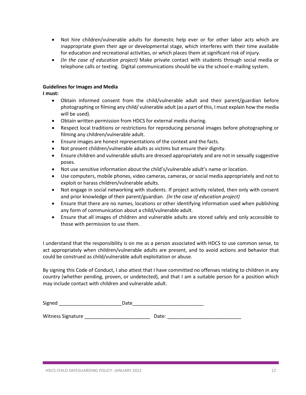- Not hire children/vulnerable adults for domestic help ever or for other labor acts which are inappropriate given their age or developmental stage, which interferes with their time available for education and recreational activities, or which places them at significant risk of injury.
- *(In the case of education project)* Make private contact with students through social media or telephone calls or texting. Digital communications should be via the school e-mailing system.

#### **Guidelines for Images and Media**

**I must:**

- Obtain informed consent from the child/vulnerable adult and their parent/guardian before photographing or filming any child/ vulnerable adult (as a part of this, I must explain how the media will be used).
- Obtain written permission from HDCS for external media sharing.
- Respect local traditions or restrictions for reproducing personal images before photographing or filming any children/vulnerable adult.
- Ensure images are honest representations of the context and the facts.
- Not present children/vulnerable adults as victims but ensure their dignity.
- Ensure children and vulnerable adults are dressed appropriately and are not in sexually suggestive poses.
- Not use sensitive information about the child's/vulnerable adult's name or location.
- Use computers, mobile phones, video cameras, cameras, or social media appropriately and not to exploit or harass children/vulnerable adults.
- Not engage in social networking with students. If project activity related, then only with consent and prior knowledge of their parent/guardian. *(In the case of education project)*
- Ensure that there are no names, locations or other identifying information used when publishing any form of communication about a child/vulnerable adult.
- Ensure that all images of children and vulnerable adults are stored safely and only accessible to those with permission to use them.

I understand that the responsibility is on me as a person associated with HDCS to use common sense, to act appropriately when children/vulnerable adults are present, and to avoid actions and behavior that could be construed as child/vulnerable adult exploitation or abuse.

By signing this Code of Conduct, I also attest that I have committed no offenses relating to children in any country (whether pending, proven, or undetected), and that I am a suitable person for a position which may include contact with children and vulnerable adult.

| - |  |
|---|--|
|   |  |

Witness Signature Later and the Date: Later and Date: Later and Date: Later and Date: Later and Date: Later and Date: Later and Date: Later and Date: Later and Date: Later and Date: Later and Date: Later and Date: Later an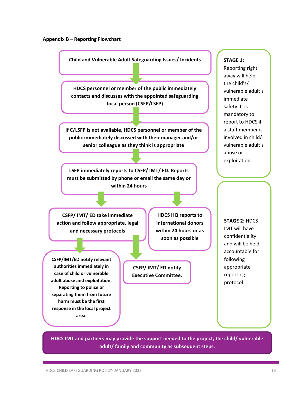#### **Appendix B** – **Reporting Flowchart**

**Child and Vulnerable Adult Safeguarding Issues/ Incidents**

**HDCS personnel or member of the public immediately contacts and discusses with the appointed safeguarding focal person (CSFP/LSFP)**

**If C/LSFP is not available, HDCS personnel or member of the public immediately discussed with their manager and/or senior colleague as they think is appropriate**

**LSFP immediately reports to CSFP/ IMT/ ED. Reports must be submitted by phone or email the same day or within 24 hours** 

**CSFP/ IMT/ ED take immediate action and follow appropriate, legal and necessary protocols**

**CSFP/IMT/ED notify relevant authorities immediately in case of child or vulnerable adult abuse and exploitation. Reporting to police or separating them from future harm must be the first response in the local project area.** 

**HDCS HQ reports to international donors within 24 hours or as soon as possible** 

**CSFP/ IMT/ ED notify Executive Committee.** **STAGE 1:**

Reporting right away will help the child's/ vulnerable adult's immediate safety. It is mandatory to report to HDCS if a staff member is involved in child/ vulnerable adult's abuse or exploitation.

**STAGE 2:** HDCS IMT will have confidentiality and will be held accountable for following appropriate reporting protocol.

**HDCS IMT and partners may provide the support needed to the project, the child/ vulnerable adult/ family and community as subsequent steps.**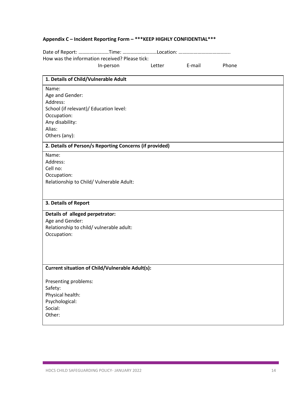### **Appendix C – Incident Reporting Form – \*\*\*KEEP HIGHLY CONFIDENTIAL\*\*\***

Date of Report: ……………………Time: ………………………Location: ………………………………….. How was the information received? Please tick: In-person Letter E-mail Phone

| 1. Details of Child/Vulnerable Adult                    |
|---------------------------------------------------------|
| Name:                                                   |
| Age and Gender:                                         |
| Address:                                                |
| School (if relevant)/ Education level:                  |
| Occupation:                                             |
| Any disability:                                         |
| Alias:                                                  |
| Others (any):                                           |
| 2. Details of Person/s Reporting Concerns (if provided) |
| Name:                                                   |
| Address:                                                |
| Cell no:                                                |
| Occupation:                                             |
| Relationship to Child/ Vulnerable Adult:                |
|                                                         |
| 3. Details of Report                                    |
|                                                         |
| Details of alleged perpetrator:                         |
| Age and Gender:                                         |
| Relationship to child/ vulnerable adult:                |
| Occupation:                                             |
|                                                         |
|                                                         |
|                                                         |
| <b>Current situation of Child/Vulnerable Adult(s):</b>  |
| Presenting problems:                                    |
| Safety:                                                 |
| Physical health:                                        |
| Psychological:                                          |
| Social:                                                 |
| Other:                                                  |
|                                                         |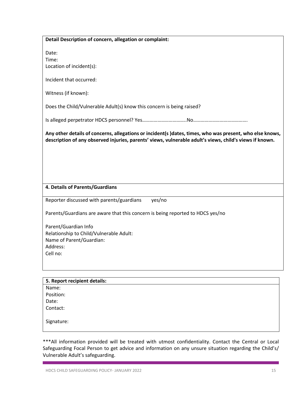| Detail Description of concern, allegation or complaint:                                                                                                                                                             |  |
|---------------------------------------------------------------------------------------------------------------------------------------------------------------------------------------------------------------------|--|
|                                                                                                                                                                                                                     |  |
| Date:                                                                                                                                                                                                               |  |
| Time:                                                                                                                                                                                                               |  |
| Location of incident(s):                                                                                                                                                                                            |  |
| Incident that occurred:                                                                                                                                                                                             |  |
| Witness (if known):                                                                                                                                                                                                 |  |
| Does the Child/Vulnerable Adult(s) know this concern is being raised?                                                                                                                                               |  |
|                                                                                                                                                                                                                     |  |
| Any other details of concerns, allegations or incident(s )dates, times, who was present, who else knows,<br>description of any observed injuries, parents' views, vulnerable adult's views, child's views if known. |  |
|                                                                                                                                                                                                                     |  |
|                                                                                                                                                                                                                     |  |
|                                                                                                                                                                                                                     |  |
|                                                                                                                                                                                                                     |  |
| 4. Details of Parents/Guardians                                                                                                                                                                                     |  |
| Reporter discussed with parents/guardians<br>yes/no                                                                                                                                                                 |  |
| Parents/Guardians are aware that this concern is being reported to HDCS yes/no                                                                                                                                      |  |
| Parent/Guardian Info                                                                                                                                                                                                |  |
| Relationship to Child/Vulnerable Adult:                                                                                                                                                                             |  |
| Name of Parent/Guardian:                                                                                                                                                                                            |  |
| Address:                                                                                                                                                                                                            |  |
| Cell no:                                                                                                                                                                                                            |  |
|                                                                                                                                                                                                                     |  |
|                                                                                                                                                                                                                     |  |
| 5. Report recipient details:                                                                                                                                                                                        |  |
| Name:                                                                                                                                                                                                               |  |
|                                                                                                                                                                                                                     |  |
| Position:<br>Date:                                                                                                                                                                                                  |  |

\*\*\*All information provided will be treated with utmost confidentiality. Contact the Central or Local Safeguarding Focal Person to get advice and information on any unsure situation regarding the Child's/ Vulnerable Adult's safeguarding.

Signature: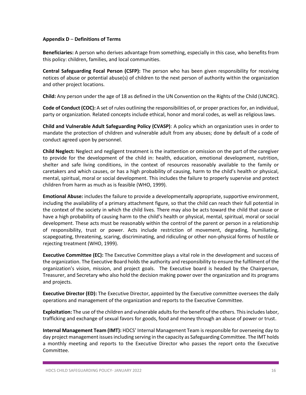#### **Appendix D** – **Definitions of Terms**

**Beneficiaries:** A person who derives advantage from something, especially in this case, who benefits from this policy: children, families, and local communities.

**Central Safeguarding Focal Person (CSFP):** The person who has been given responsibility for receiving notices of abuse or potential abuse(s) of children to the next person of authority within the organization and other project locations.

**Child:** Any person under the age of 18 as defined in the UN Convention on the Rights of the Child (UNCRC).

**Code of Conduct (COC):** A set of rules outlining the responsibilities of, or proper practices for, an individual, party or organization. Related concepts include ethical, honor and moral codes, as well as religious laws.

**Child and Vulnerable Adult Safeguarding Policy (CVASP)**: A policy which an organization uses in order to mandate the protection of children and vulnerable adult from any abuses; done by default of a code of conduct agreed upon by personnel.

**Child Neglect:** Neglect and negligent treatment is the inattention or omission on the part of the caregiver to provide for the development of the child in: health, education, emotional development, nutrition, shelter and safe living conditions, in the context of resources reasonably available to the family or caretakers and which causes, or has a high probability of causing, harm to the child's health or physical, mental, spiritual, moral or social development. This includes the failure to properly supervise and protect children from harm as much as is feasible (WHO, 1999).

**Emotional Abuse:** includes the failure to provide a developmentally appropriate, supportive environment, including the availability of a primary attachment figure, so that the child can reach their full potential in the context of the society in which the child lives. There may also be acts toward the child that cause or have a high probability of causing harm to the child's health or physical, mental, spiritual, moral or social development. These acts must be reasonably within the control of the parent or person in a relationship of responsibility, trust or power. Acts include restriction of movement, degrading, humiliating, scapegoating, threatening, scaring, discriminating, and ridiculing or other non-physical forms of hostile or rejecting treatment (WHO, 1999).

**Executive Committee (EC):** The Executive Committee plays a vital role in the development and success of the organization. The Executive Board holds the authority and responsibility to ensure the fulfilment of the organization's vision, mission, and project goals. The Executive board is headed by the Chairperson, Treasurer, and Secretary who also hold the decision making power over the organization and its programs and projects.

**Executive Director (ED):** The Executive Director, appointed by the Executive committee oversees the daily operations and management of the organization and reports to the Executive Committee.

**Exploitation:** The use of the children and vulnerable adults for the benefit of the others. This includes labor, trafficking and exchange of sexual favors for goods, food and money through an abuse of power or trust.

**Internal Management Team (IMT):** HDCS' Internal Management Team is responsible for overseeing day to day project management issues including serving in the capacity as Safeguarding Committee. The IMT holds a monthly meeting and reports to the Executive Director who passes the report onto the Executive Committee.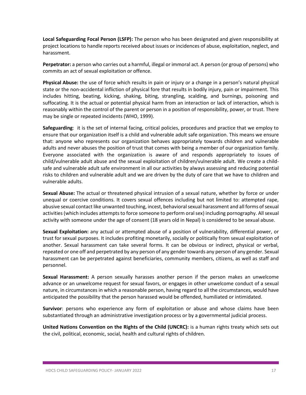**Local Safeguarding Focal Person (LSFP):** The person who has been designated and given responsibility at project locations to handle reports received about issues or incidences of abuse, exploitation, neglect, and harassment.

**Perpetrator:** a person who carries out a harmful, illegal or immoral act. A person (or group of persons) who commits an act of sexual exploitation or offence.

**Physical Abuse:** the use of force which results in pain or injury or a change in a person's natural physical state or the non-accidental infliction of physical fore that results in bodily injury, pain or impairment. This includes hitting, beating, kicking, shaking, biting, strangling, scalding, and burnings, poisoning and suffocating. It is the actual or potential physical harm from an interaction or lack of interaction, which is reasonably within the control of the parent or person in a position of responsibility, power, or trust. There may be single or repeated incidents (WHO, 1999).

**Safeguarding**: it is the set of internal facing, critical policies, procedures and practice that we employ to ensure that our organization itself is a child and vulnerable adult safe organization. This means we ensure that: anyone who represents our organization behaves appropriately towards children and vulnerable adults and never abuses the position of trust that comes with being a member of our organization family. Everyone associated with the organization is aware of and responds appropriately to issues of child/vulnerable adult abuse and the sexual exploitation of children/vulnerable adult. We create a childsafe and vulnerable adult safe environment in all our activities by always assessing and reducing potential risks to children and vulnerable adult and we are driven by the duty of care that we have to children and vulnerable adults.

**Sexual Abuse:** The actual or threatened physical intrusion of a sexual nature, whether by force or under unequal or coercive conditions. It covers sexual offences including but not limited to: attempted rape, abusive sexual contact like unwanted touching, incest, behavioral sexual harassment and all forms of sexual activities(which includes attempts to force someone to perform oral sex) including pornography. All sexual activity with someone under the age of consent (18 years old in Nepal) is considered to be sexual abuse.

**Sexual Exploitation:** any actual or attempted abuse of a position of vulnerability, differential power, or trust for sexual purposes. It includes profiting monetarily, socially or politically from sexual exploitation of another. Sexual harassment can take several forms. It can be obvious or indirect, physical or verbal, repeated or one off and perpetrated by any person of any gender towards any person of any gender. Sexual harassment can be perpetrated against beneficiaries, community members, citizens, as well as staff and personnel.

**Sexual Harassment:** A person sexually harasses another person if the person makes an unwelcome advance or an unwelcome request for sexual favors, or engages in other unwelcome conduct of a sexual nature, in circumstances in which a reasonable person, having regard to all the circumstances, would have anticipated the possibility that the person harassed would be offended, humiliated or intimidated.

**Survivor**: persons who experience any form of exploitation or abuse and whose claims have been substantiated through an administrative investigation process or by a governmental judicial process.

**United Nations Convention on the Rights of the Child (UNCRC):** is a human rights treaty which sets out the civil, political, economic, social, health and cultural rights of children.